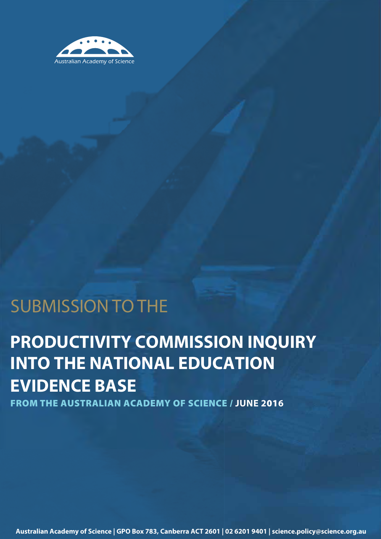

## SUBMISSION TO THE

# **PRODUCTIVITY COMMISSION INQUIRY INTO THE NATIONAL EDUCATION EVIDENCE BASE**

**FROM THE AUSTRALIAN ACADEMY OF SCIENCE / JUNE 2016**

**Australian Academy of Science | GPO Box 783, Canberra ACT 2601 | 02 6201 9401 | science.policy@science.org.au**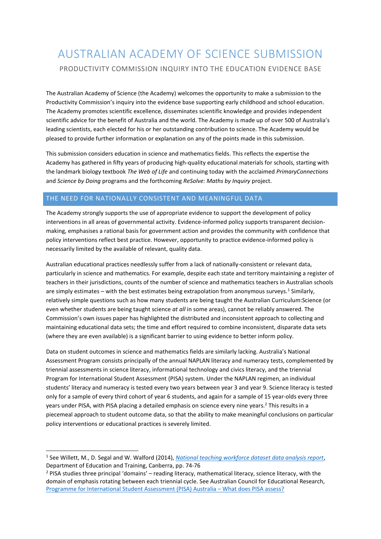### AUSTRALIAN ACADEMY OF SCIENCE SUBMISSION PRODUCTIVITY COMMISSION INQUIRY INTO THE EDUCATION EVIDENCE BASE

The Australian Academy of Science (the Academy) welcomes the opportunity to make a submission to the Productivity Commission's inquiry into the evidence base supporting early childhood and school education. The Academy promotes scientific excellence, disseminates scientific knowledge and provides independent scientific advice for the benefit of Australia and the world. The Academy is made up of over 500 of Australia's leading scientists, each elected for his or her outstanding contribution to science. The Academy would be pleased to provide further information or explanation on any of the points made in this submission.

This submission considers education in science and mathematics fields. This reflects the expertise the Academy has gathered in fifty years of producing high-quality educational materials for schools, starting with the landmark biology textbook *The Web of Life* and continuing today with the acclaimed *PrimaryConnections* and *Science by Doing* programs and the forthcoming *ReSolve: Maths by Inquiry* project.

### THE NEED FOR NATIONALLY CONSISTENT AND MEANINGFUL DATA

The Academy strongly supports the use of appropriate evidence to support the development of policy interventions in all areas of governmental activity. Evidence-informed policy supports transparent decisionmaking, emphasises a rational basis for government action and provides the community with confidence that policy interventions reflect best practice. However, opportunity to practice evidence-informed policy is necessarily limited by the available of relevant, quality data.

Australian educational practices needlessly suffer from a lack of nationally-consistent or relevant data, particularly in science and mathematics. For example, despite each state and territory maintaining a register of teachers in their jurisdictions, counts of the number of science and mathematics teachers in Australian schools are simply estimates – with the best estimates being extrapolation from anonymous surveys.<sup>1</sup> Similarly, relatively simple questions such as how many students are being taught the Australian Curriculum:Science (or even whether students are being taught science *at all* in some areas), cannot be reliably answered. The Commission's own issues paper has highlighted the distributed and inconsistent approach to collecting and maintaining educational data sets; the time and effort required to combine inconsistent, disparate data sets (where they are even available) is a significant barrier to using evidence to better inform policy.

Data on student outcomes in science and mathematics fields are similarly lacking. Australia's National Assessment Program consists principally of the annual NAPLAN literacy and numeracy tests, complemented by triennial assessments in science literacy, informational technology and civics literacy, and the triennial Program for International Student Assessment (PISA) system. Under the NAPLAN regimen, an individual students' literacy and numeracy is tested every two years between year 3 and year 9. Science literacy is tested only for a sample of every third cohort of year 6 students, and again for a sample of 15 year-olds every three years under PISA, with PISA placing a detailed emphasis on science every nine years.<sup>2</sup> This results in a piecemeal approach to student outcome data, so that the ability to make meaningful conclusions on particular policy interventions or educational practices is severely limited.

**.** 

<sup>1</sup> See Willett, M., D. Segal and W. Walford (2014), *[National teaching workforce dataset data analysis report](https://docs.education.gov.au/system/files/doc/other/ntwd_data_analysis_report.pdf)*, Department of Education and Training, Canberra, pp. 74-76

 $<sup>2</sup>$  PISA studies three principal 'domains' – reading literacy, mathematical literacy, science literacy, with the</sup> domain of emphasis rotating between each triennial cycle. See Australian Council for Educational Research, [Programme for International Student Assessment \(PISA\) Australia](https://www.acer.edu.au/ozpisa/what-does-pisa-assess) – What does PISA assess?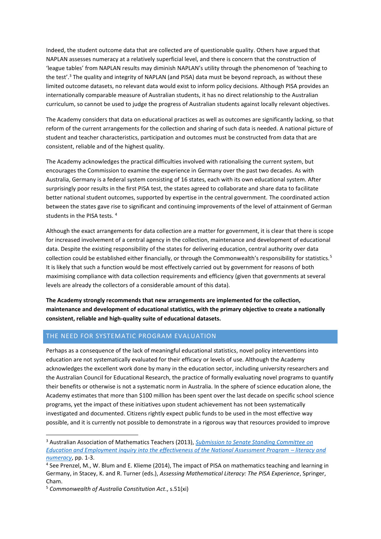Indeed, the student outcome data that are collected are of questionable quality. Others have argued that NAPLAN assesses numeracy at a relatively superficial level, and there is concern that the construction of 'league tables' from NAPLAN results may diminish NAPLAN's utility through the phenomenon of 'teaching to the test'.<sup>3</sup> The quality and integrity of NAPLAN (and PISA) data must be beyond reproach, as without these limited outcome datasets, no relevant data would exist to inform policy decisions. Although PISA provides an internationally comparable measure of Australian students, it has no direct relationship to the Australian curriculum, so cannot be used to judge the progress of Australian students against locally relevant objectives.

The Academy considers that data on educational practices as well as outcomes are significantly lacking, so that reform of the current arrangements for the collection and sharing of such data is needed. A national picture of student and teacher characteristics, participation and outcomes must be constructed from data that are consistent, reliable and of the highest quality.

The Academy acknowledges the practical difficulties involved with rationalising the current system, but encourages the Commission to examine the experience in Germany over the past two decades. As with Australia, Germany is a federal system consisting of 16 states, each with its own educational system. After surprisingly poor results in the first PISA test, the states agreed to collaborate and share data to facilitate better national student outcomes, supported by expertise in the central government. The coordinated action between the states gave rise to significant and continuing improvements of the level of attainment of German students in the PISA tests. <sup>4</sup>

Although the exact arrangements for data collection are a matter for government, it is clear that there is scope for increased involvement of a central agency in the collection, maintenance and development of educational data. Despite the existing responsibility of the states for delivering education, central authority over data collection could be established either financially, or through the Commonwealth's responsibility for statistics.<sup>5</sup> It is likely that such a function would be most effectively carried out by government for reasons of both maximising compliance with data collection requirements and efficiency (given that governments at several levels are already the collectors of a considerable amount of this data).

**The Academy strongly recommends that new arrangements are implemented for the collection, maintenance and development of educational statistics, with the primary objective to create a nationally consistent, reliable and high-quality suite of educational datasets.** 

#### THE NEED FOR SYSTEMATIC PROGRAM EVALUATION

Perhaps as a consequence of the lack of meaningful educational statistics, novel policy interventions into education are not systematically evaluated for their efficacy or levels of use. Although the Academy acknowledges the excellent work done by many in the education sector, including university researchers and the Australian Council for Educational Research, the practice of formally evaluating novel programs to quantify their benefits or otherwise is not a systematic norm in Australia. In the sphere of science education alone, the Academy estimates that more than \$100 million has been spent over the last decade on specific school science programs, yet the impact of these initiatives upon student achievement has not been systematically investigated and documented. Citizens rightly expect public funds to be used in the most effective way possible, and it is currently not possible to demonstrate in a rigorous way that resources provided to improve

1

<sup>3</sup> Australian Association of Mathematics Teachers (2013), *[Submission to Senate Standing Committee on](http://www.aph.gov.au/DocumentStore.ashx?id=694800ce-9b70-4a3f-a12d-0749ad7b009c&subId=11617)  [Education and Employment inquiry into the effectiveness of the National Assessment Program](http://www.aph.gov.au/DocumentStore.ashx?id=694800ce-9b70-4a3f-a12d-0749ad7b009c&subId=11617) – literacy and [numeracy](http://www.aph.gov.au/DocumentStore.ashx?id=694800ce-9b70-4a3f-a12d-0749ad7b009c&subId=11617)*, pp. 1-3.

<sup>4</sup> See Prenzel, M., W. Blum and E. Klieme (2014), The impact of PISA on mathematics teaching and learning in Germany, in Stacey, K. and R. Turner (eds.), *Assessing Mathematical Literacy: The PISA Experience*, Springer, Cham.

<sup>5</sup> *Commonwealth of Australia Constitution Act*., s.51(xi)